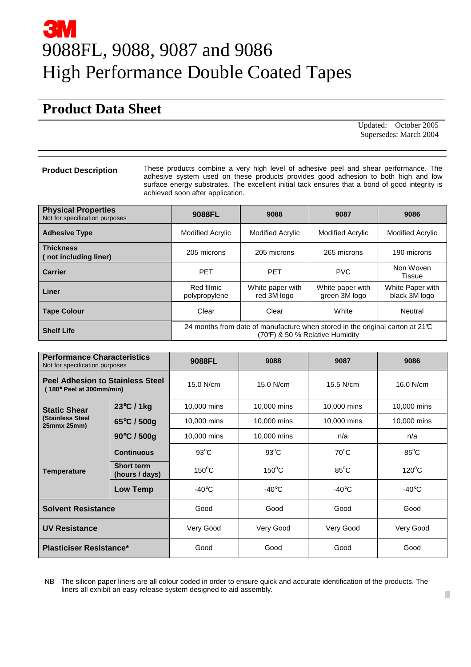# 9088FL, 9088, 9087 and 9086 High Performance Double Coated Tapes

## **Product Data Sheet**

 Updated: October 2005 Supersedes: March 2004

**Product Description** These products combine a very high level of adhesive peel and shear performance. The adhesive system used on these products provides good adhesion to both high and low surface energy substrates. The excellent initial tack ensures that a bond of good integrity is achieved soon after application.

| <b>Physical Properties</b><br>Not for specification purposes | 9088FL                                                                                                                    | 9088                            | 9087                              | 9086                              |  |
|--------------------------------------------------------------|---------------------------------------------------------------------------------------------------------------------------|---------------------------------|-----------------------------------|-----------------------------------|--|
| <b>Adhesive Type</b>                                         | <b>Modified Acrylic</b>                                                                                                   | <b>Modified Acrylic</b>         | <b>Modified Acrylic</b>           | <b>Modified Acrylic</b>           |  |
| <b>Thickness</b><br>not including liner)                     | 205 microns                                                                                                               | 205 microns                     | 265 microns                       | 190 microns                       |  |
| <b>Carrier</b>                                               | <b>PET</b>                                                                                                                | <b>PFT</b>                      | <b>PVC</b>                        | Non Woven<br>Tissue               |  |
| Liner                                                        | Red filmic<br>polypropylene                                                                                               | White paper with<br>red 3M logo | White paper with<br>green 3M logo | White Paper with<br>black 3M logo |  |
| <b>Tape Colour</b>                                           | Clear                                                                                                                     | Clear                           | White                             | Neutral                           |  |
| <b>Shelf Life</b>                                            | 24 months from date of manufacture when stored in the original carton at 21 $\mathbb C$<br>(70°) & 50 % Relative Humidity |                                 |                                   |                                   |  |

| <b>Performance Characteristics</b><br>Not for specification purposes |                                     | 9088FL           | 9088            | 9087             | 9086            |
|----------------------------------------------------------------------|-------------------------------------|------------------|-----------------|------------------|-----------------|
| <b>Peel Adhesion to Stainless Steel</b><br>(180° Peel at 300mm/min)  |                                     | 15.0 N/cm        | 15.0 N/cm       | $15.5$ N/cm      | 16.0 N/cm       |
| <b>Static Shear</b><br><b>(Stainless Steel</b><br>25mmx 25mm)        | 23°C / 1kg                          | 10,000 mins      | 10,000 mins     | 10,000 mins      | 10,000 mins     |
|                                                                      | 65°C / 500g                         | 10,000 mins      | 10,000 mins     | 10,000 mins      | 10,000 mins     |
|                                                                      | 90°C / 500g                         | 10,000 mins      | 10,000 mins     | n/a              | n/a             |
| <b>Temperature</b>                                                   | <b>Continuous</b>                   | $93^{\circ}$ C   | $93^{\circ}$ C  | $70^{\circ}$ C   | $85^{\circ}$ C  |
|                                                                      | <b>Short term</b><br>(hours / days) | $150^{\circ}$ C  | $150^{\circ}$ C | $85^{\circ}$ C   | $120^{\circ}$ C |
|                                                                      | Low Temp                            | -40 $^{\circ}$ C | $-40^{\circ}$ C | -40 $^{\circ}$ C | $-40^{\circ}$ C |
| <b>Solvent Resistance</b>                                            |                                     | Good             | Good            | Good             | Good            |
| <b>UV Resistance</b>                                                 |                                     | Very Good        | Very Good       | Very Good        | Very Good       |
| <b>Plasticiser Resistance*</b>                                       |                                     | Good             | Good            | Good             | Good            |

NB The silicon paper liners are all colour coded in order to ensure quick and accurate identification of the products. The liners all exhibit an easy release system designed to aid assembly.